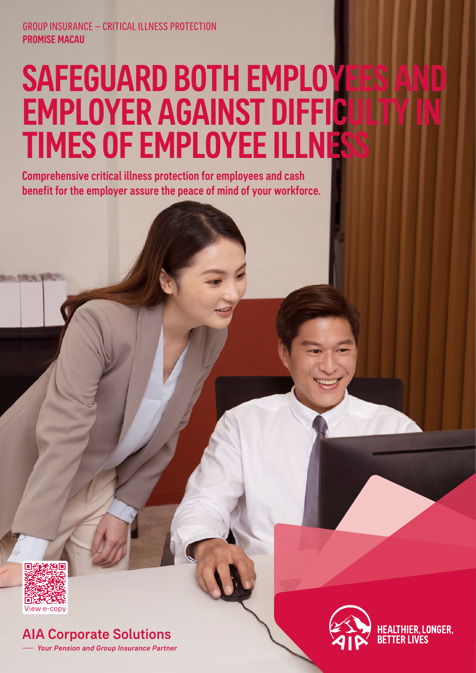# SAFEGUARD BOTH EMPLOYEES A EMPLOYER AGAINST DIFFICU TIMES OF EMPLOYEE ILLNESS

Comprehensive critical illness protection for employees and cash benefit for the employer assure the peace of mind of your workforce.



AIA Corporate Solutions Your Pension and Group Insurance Partner



**HEALTHIER, LONGER,** TFR I IVFS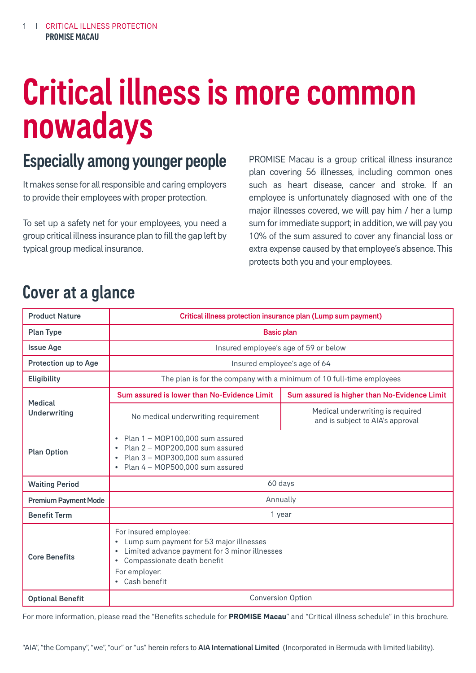# Critical illness is more common nowadays

# Especially among younger people

It makes sense for all responsible and caring employers to provide their employees with proper protection.

To set up a safety net for your employees, you need a group critical illness insurance plan to fill the gap left by typical group medical insurance.

PROMISE Macau is a group critical illness insurance plan covering 56 illnesses, including common ones such as heart disease, cancer and stroke. If an employee is unfortunately diagnosed with one of the major illnesses covered, we will pay him / her a lump sum for immediate support; in addition, we will pay you 10% of the sum assured to cover any financial loss or extra expense caused by that employee's absence. This protects both you and your employees.

# Cover at a glance

| <b>Product Nature</b>          | Critical illness protection insurance plan (Lump sum payment)                                                                                                                                                                         |                                                                      |  |  |  |
|--------------------------------|---------------------------------------------------------------------------------------------------------------------------------------------------------------------------------------------------------------------------------------|----------------------------------------------------------------------|--|--|--|
| <b>Plan Type</b>               | <b>Basic plan</b>                                                                                                                                                                                                                     |                                                                      |  |  |  |
| <b>Issue Age</b>               | Insured employee's age of 59 or below                                                                                                                                                                                                 |                                                                      |  |  |  |
| Protection up to Age           | Insured employee's age of 64                                                                                                                                                                                                          |                                                                      |  |  |  |
| <b>Eligibility</b>             | The plan is for the company with a minimum of 10 full-time employees                                                                                                                                                                  |                                                                      |  |  |  |
|                                | Sum assured is lower than No-Evidence Limit                                                                                                                                                                                           | Sum assured is higher than No-Evidence Limit                         |  |  |  |
| Medical<br><b>Underwriting</b> | No medical underwriting requirement                                                                                                                                                                                                   | Medical underwriting is required<br>and is subject to AIA's approval |  |  |  |
| <b>Plan Option</b>             | Plan 1 – MOP100,000 sum assured<br>$\bullet$<br>Plan 2 - MOP200,000 sum assured<br>$\bullet$<br>Plan 3 - MOP300,000 sum assured<br>$\bullet$<br>Plan 4 - MOP500,000 sum assured<br>$\bullet$                                          |                                                                      |  |  |  |
| <b>Waiting Period</b>          | 60 days                                                                                                                                                                                                                               |                                                                      |  |  |  |
| <b>Premium Payment Mode</b>    | Annually                                                                                                                                                                                                                              |                                                                      |  |  |  |
| <b>Benefit Term</b>            | 1 year                                                                                                                                                                                                                                |                                                                      |  |  |  |
| <b>Core Benefits</b>           | For insured employee:<br>Lump sum payment for 53 major illnesses<br>$\bullet$<br>Limited advance payment for 3 minor illnesses<br>$\bullet$<br>Compassionate death benefit<br>$\bullet$<br>For employer:<br>Cash benefit<br>$\bullet$ |                                                                      |  |  |  |
| <b>Optional Benefit</b>        | <b>Conversion Option</b>                                                                                                                                                                                                              |                                                                      |  |  |  |

For more information, please read the "Benefits schedule for **PROMISE Macau**" and "Critical illness schedule" in this brochure.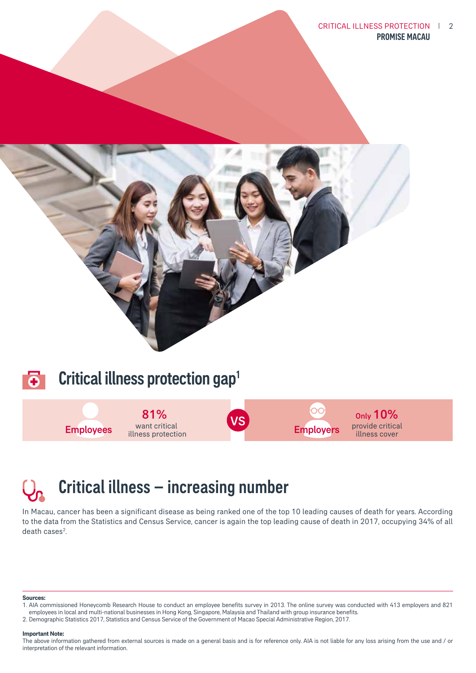CRITICAL ILLNESS PROTECTION | 2 PROMISE MACAU







# Critical illness – increasing number

In Macau, cancer has been a significant disease as being ranked one of the top 10 leading causes of death for years. According to the data from the Statistics and Census Service, cancer is again the top leading cause of death in 2017, occupying 34% of all  $death cases<sup>2</sup>$ . .

#### **Sources:**

1. AIA commissioned Honeycomb Research House to conduct an employee benefits survey in 2013. The online survey was conducted with 413 employers and 821 employees in local and multi-national businesses in Hong Kong, Singapore, Malaysia and Thailand with group insurance benefits.

2. Demographic Statistics 2017, Statistics and Census Service of the Government of Macao Special Administrative Region, 2017.

#### **Important Note:**

The above information gathered from external sources is made on a general basis and is for reference only. AIA is not liable for any loss arising from the use and / or interpretation of the relevant information.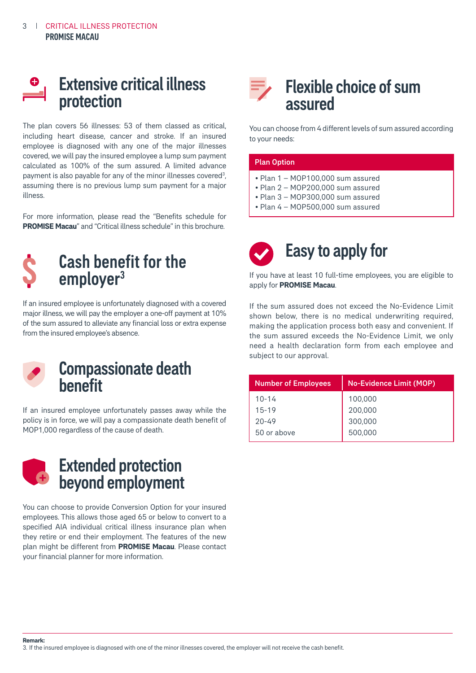

The plan covers 56 illnesses: 53 of them classed as critical, including heart disease, cancer and stroke. If an insured employee is diagnosed with any one of the major illnesses covered, we will pay the insured employee a lump sum payment calculated as 100% of the sum assured. A limited advance payment is also payable for any of the minor illnesses covered<sup>3</sup>, assuming there is no previous lump sum payment for a major illness.

For more information, please read the "Benefits schedule for **PROMISE Macau**" and "Critical illness schedule" in this brochure.



If an insured employee is unfortunately diagnosed with a covered major illness, we will pay the employer a one-off payment at 10% of the sum assured to alleviate any financial loss or extra expense from the insured employee's absence.



### Compassionate death benefit

If an insured employee unfortunately passes away while the policy is in force, we will pay a compassionate death benefit of MOP1,000 regardless of the cause of death.



## Extended protection beyond employment

You can choose to provide Conversion Option for your insured employees. This allows those aged 65 or below to convert to a specified AIA individual critical illness insurance plan when they retire or end their employment. The features of the new plan might be different from **PROMISE Macau**. Please contact your financial planner for more information.

## Flexible choice of sum assured

You can choose from 4 different levels of sum assured according to your needs:

#### Plan Option

- Plan 1 MOP100,000 sum assured
- Plan 2 MOP200,000 sum assured
- Plan 3 MOP300,000 sum assured
- Plan 4 MOP500,000 sum assured



If you have at least 10 full-time employees, you are eligible to apply for **PROMISE Macau**.

If the sum assured does not exceed the No-Evidence Limit shown below, there is no medical underwriting required, making the application process both easy and convenient. If the sum assured exceeds the No-Evidence Limit, we only need a health declaration form from each employee and subject to our approval.

| <b>Number of Employees</b> | <b>No-Evidence Limit (MOP)</b> |  |  |  |
|----------------------------|--------------------------------|--|--|--|
| $10 - 14$                  | 100,000                        |  |  |  |
| $15 - 19$                  | 200,000                        |  |  |  |
| $20 - 49$                  | 300,000                        |  |  |  |
| 50 or above                | 500,000                        |  |  |  |

**Remark:**

3. If the insured employee is diagnosed with one of the minor illnesses covered, the employer will not receive the cash benefit.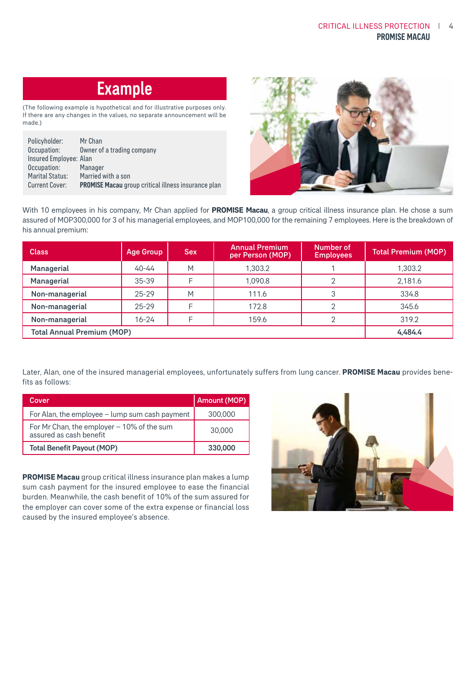# **Example**

(The following example is hypothetical and for illustrative purposes only. If there are any changes in the values, no separate announcement will be made.)

| Policyholder:          | Mr Chan                                                    |
|------------------------|------------------------------------------------------------|
| Occupation:            | Owner of a trading company                                 |
| Insured Employee: Alan |                                                            |
| Occupation:            | Manager                                                    |
| <b>Marital Status:</b> | Married with a son                                         |
| Current Cover:         | <b>PROMISE Macau</b> group critical illness insurance plan |



With 10 employees in his company, Mr Chan applied for **PROMISE Macau**, a group critical illness insurance plan. He chose a sum assured of MOP300,000 for 3 of his managerial employees, and MOP100,000 for the remaining 7 employees. Here is the breakdown of his annual premium:

| <b>Class</b>                      | <b>Age Group</b> | <b>Sex</b> | <b>Annual Premium</b><br>per Person (MOP) | Number of<br><b>Employees</b> | <b>Total Premium (MOP)</b> |
|-----------------------------------|------------------|------------|-------------------------------------------|-------------------------------|----------------------------|
| Managerial                        | $40 - 44$        | Μ          | 1.303.2                                   |                               | 1,303.2                    |
| Managerial                        | $35 - 39$        |            | 1.090.8                                   | ⌒                             | 2,181.6                    |
| Non-managerial                    | $25 - 29$        | Μ          | 111.6                                     | 3                             | 334.8                      |
| Non-managerial                    | $25 - 29$        |            | 172.8                                     | ⌒                             | 345.6                      |
| Non-managerial                    | $16 - 24$        |            | 159.6                                     |                               | 319.2                      |
| <b>Total Annual Premium (MOP)</b> |                  |            |                                           |                               | 4.484.4                    |

Later, Alan, one of the insured managerial employees, unfortunately suffers from lung cancer. **PROMISE Macau** provides benefits as follows:

| Cover                                                                   | <b>Amount (MOP)</b> |
|-------------------------------------------------------------------------|---------------------|
| For Alan, the employee - lump sum cash payment                          | 300,000             |
| For Mr Chan, the employer $-10\%$ of the sum<br>assured as cash benefit | 30,000              |
| <b>Total Benefit Payout (MOP)</b>                                       | 330,000             |

**PROMISE Macau** group critical illness insurance plan makes a lump sum cash payment for the insured employee to ease the financial burden. Meanwhile, the cash benefit of 10% of the sum assured for the employer can cover some of the extra expense or financial loss caused by the insured employee's absence.

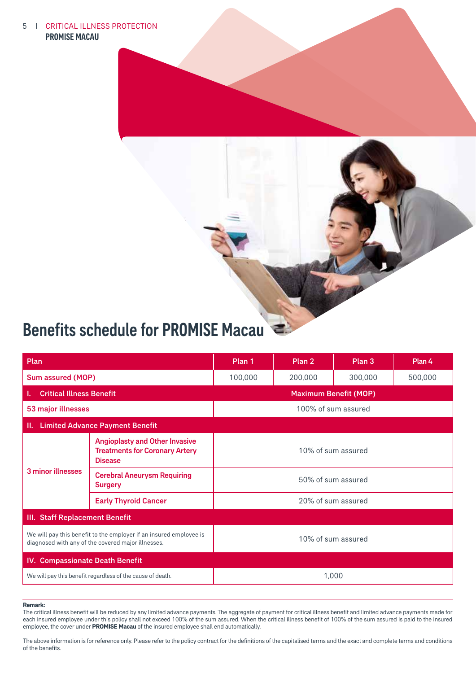#### 5 PROMISE MACAU **I** CRITICAL ILLNESS PROTECTION



# Benefits schedule for PROMISE Macau

| Plan                                                                                                                     |                                                                                                  | Plan 1                        | Plan <sub>2</sub> | Plan 3 | Plan 4  |  |  |
|--------------------------------------------------------------------------------------------------------------------------|--------------------------------------------------------------------------------------------------|-------------------------------|-------------------|--------|---------|--|--|
| <b>Sum assured (MOP)</b>                                                                                                 |                                                                                                  | 100,000<br>200,000<br>300,000 |                   |        | 500,000 |  |  |
| <b>Critical Illness Benefit</b>                                                                                          |                                                                                                  | <b>Maximum Benefit (MOP)</b>  |                   |        |         |  |  |
| 53 major illnesses                                                                                                       |                                                                                                  | 100% of sum assured           |                   |        |         |  |  |
| <b>Limited Advance Payment Benefit</b><br>Ш.                                                                             |                                                                                                  |                               |                   |        |         |  |  |
| 3 minor illnesses                                                                                                        | <b>Angioplasty and Other Invasive</b><br><b>Treatments for Coronary Artery</b><br><b>Disease</b> | 10% of sum assured            |                   |        |         |  |  |
|                                                                                                                          | <b>Cerebral Aneurysm Requiring</b><br><b>Surgery</b>                                             | 50% of sum assured            |                   |        |         |  |  |
|                                                                                                                          | <b>Early Thyroid Cancer</b>                                                                      | 20% of sum assured            |                   |        |         |  |  |
| III. Staff Replacement Benefit                                                                                           |                                                                                                  |                               |                   |        |         |  |  |
| We will pay this benefit to the employer if an insured employee is<br>diagnosed with any of the covered major illnesses. |                                                                                                  | 10% of sum assured            |                   |        |         |  |  |
| <b>Compassionate Death Benefit</b><br>IV.                                                                                |                                                                                                  |                               |                   |        |         |  |  |
| We will pay this benefit regardless of the cause of death.                                                               |                                                                                                  | 1,000                         |                   |        |         |  |  |

#### **Remark:**

The critical illness benefit will be reduced by any limited advance payments. The aggregate of payment for critical illness benefit and limited advance payments made for each insured employee under this policy shall not exceed 100% of the sum assured. When the critical illness benefit of 100% of the sum assured is paid to the insured employee, the cover under **PROMISE Macau** of the insured employee shall end automatically.

The above information is for reference only. Please refer to the policy contract for the definitions of the capitalised terms and the exact and complete terms and conditions of the benefits.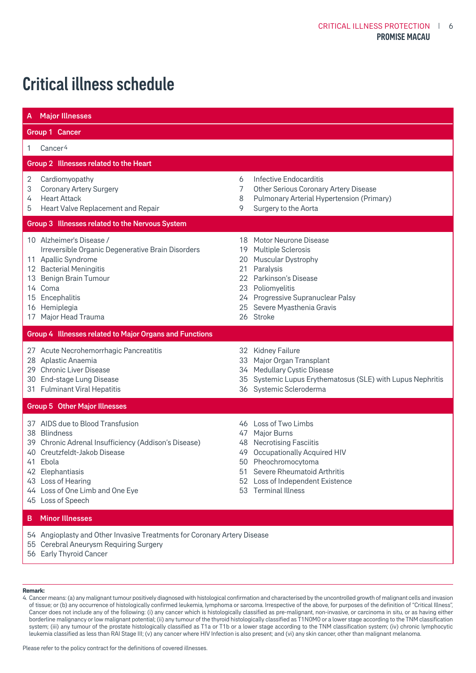# Critical illness schedule

| A.               | <b>Major Illnesses</b>                                                                                                                                                                                                                                 |                                        |                                                                                                                                                                                                                               |  |  |
|------------------|--------------------------------------------------------------------------------------------------------------------------------------------------------------------------------------------------------------------------------------------------------|----------------------------------------|-------------------------------------------------------------------------------------------------------------------------------------------------------------------------------------------------------------------------------|--|--|
|                  | Group 1 Cancer                                                                                                                                                                                                                                         |                                        |                                                                                                                                                                                                                               |  |  |
| 1                | Cancer <sup>4</sup>                                                                                                                                                                                                                                    |                                        |                                                                                                                                                                                                                               |  |  |
|                  | Group 2 Illnesses related to the Heart                                                                                                                                                                                                                 |                                        |                                                                                                                                                                                                                               |  |  |
| 2<br>3<br>4<br>5 | Cardiomyopathy<br><b>Coronary Artery Surgery</b><br><b>Heart Attack</b><br>Heart Valve Replacement and Repair                                                                                                                                          | 6<br>7<br>8<br>9                       | Infective Endocarditis<br>Other Serious Coronary Artery Disease<br>Pulmonary Arterial Hypertension (Primary)<br>Surgery to the Aorta                                                                                          |  |  |
|                  | Group 3 Illnesses related to the Nervous System                                                                                                                                                                                                        |                                        |                                                                                                                                                                                                                               |  |  |
|                  | 10 Alzheimer's Disease /<br>Irreversible Organic Degenerative Brain Disorders<br>11 Apallic Syndrome<br>12 Bacterial Meningitis<br>13 Benign Brain Tumour<br>14 Coma<br>15 Encephalitis<br>16 Hemiplegia<br>17 Major Head Trauma                       | 18<br>19<br>20<br>21<br>22<br>23<br>25 | Motor Neurone Disease<br>Multiple Sclerosis<br>Muscular Dystrophy<br>Paralysis<br>Parkinson's Disease<br>Poliomyelitis<br>24 Progressive Supranuclear Palsy<br>Severe Myasthenia Gravis<br>26 Stroke                          |  |  |
|                  | Group 4 Illnesses related to Major Organs and Functions                                                                                                                                                                                                |                                        |                                                                                                                                                                                                                               |  |  |
|                  | 27 Acute Necrohemorrhagic Pancreatitis<br>28 Aplastic Anaemia<br>29 Chronic Liver Disease<br>30 End-stage Lung Disease<br>31 Fulminant Viral Hepatitis                                                                                                 | 33<br>34<br>35                         | 32 Kidney Failure<br>Major Organ Transplant<br><b>Medullary Cystic Disease</b><br>Systemic Lupus Erythematosus (SLE) with Lupus Nephritis<br>36 Systemic Scleroderma                                                          |  |  |
|                  | <b>Group 5 Other Major Illnesses</b>                                                                                                                                                                                                                   |                                        |                                                                                                                                                                                                                               |  |  |
|                  | 37 AIDS due to Blood Transfusion<br>38 Blindness<br>39 Chronic Adrenal Insufficiency (Addison's Disease)<br>40 Creutzfeldt-Jakob Disease<br>41 Ebola<br>42 Elephantiasis<br>43 Loss of Hearing<br>44 Loss of One Limb and One Eye<br>45 Loss of Speech | 47<br>48<br>49                         | 46 Loss of Two Limbs<br>Major Burns<br><b>Necrotising Fasciitis</b><br><b>Occupationally Acquired HIV</b><br>50 Pheochromocytoma<br>51 Severe Rheumatoid Arthritis<br>52 Loss of Independent Existence<br>53 Terminal Illness |  |  |
| в.               | <b>Minor Illnesses</b>                                                                                                                                                                                                                                 |                                        |                                                                                                                                                                                                                               |  |  |
|                  | 54 Angioplasty and Other Invasive Treatments for Coronary Artery Disease<br>55 Cerebral Aneurysm Requiring Surgery<br>56 Early Thyroid Cancer                                                                                                          |                                        |                                                                                                                                                                                                                               |  |  |

#### **Remark:**

4. Cancer means: (a) any malignant tumour positively diagnosed with histological confirmation and characterised by the uncontrolled growth of malignant cells and invasion of tissue; or (b) any occurrence of histologically confirmed leukemia, lymphoma or sarcoma. Irrespective of the above, for purposes of the definition of "Critical Illness", Cancer does not include any of the following: (i) any cancer which is histologically classified as pre-malignant, non-invasive, or carcinoma in situ, or as having either borderline malignancy or low malignant potential; (ii) any tumour of the thyroid histologically classified as T1N0M0 or a lower stage according to the TNM classification system; (iii) any tumour of the prostate histologically classified as T1a or T1b or a lower stage according to the TNM classification system; (iv) chronic lymphocytic leukemia classified as less than RAI Stage III; (v) any cancer where HIV Infection is also present; and (vi) any skin cancer, other than malignant melanoma.

Please refer to the policy contract for the definitions of covered illnesses.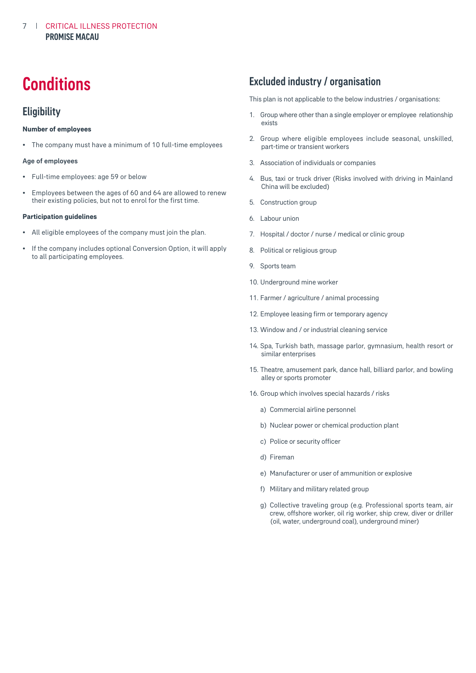# **Conditions**

### **Eligibility**

### **Number of employees**

• The company must have a minimum of 10 full-time employees

### Age of employees

- Full-time employees: age 59 or below
- Employees between the ages of 60 and 64 are allowed to renew their existing policies, but not to enrol for the first time.

#### **Participation guidelines**

- All eligible employees of the company must join the plan.
- If the company includes optional Conversion Option, it will apply to all participating employees.

### Excluded industry / organisation

This plan is not applicable to the below industries / organisations:

- 1. Group where other than a single employer or employee relationship exists
- 2. Group where eligible employees include seasonal, unskilled, part-time or transient workers
- 3. Association of individuals or companies
- 4. Bus, taxi or truck driver (Risks involved with driving in Mainland China will be excluded)
- 5. Construction group
- 6. Labour union
- 7. Hospital / doctor / nurse / medical or clinic group
- 8. Political or religious group
- 9. Sports team
- 10. Underground mine worker
- 11. Farmer / agriculture / animal processing
- 12. Employee leasing firm or temporary agency
- 13. Window and / or industrial cleaning service
- 14. Spa, Turkish bath, massage parlor, gymnasium, health resort or similar enterprises
- 15. Theatre, amusement park, dance hall, billiard parlor, and bowling alley or sports promoter
- 16. Group which involves special hazards / risks
	- a) Commercial airline personnel
	- b) Nuclear power or chemical production plant
	- c) Police or security officer
	- d) Fireman
	- e) Manufacturer or user of ammunition or explosive
	- f) Military and military related group
	- g) Collective traveling group (e.g. Professional sports team, air crew, offshore worker, oil rig worker, ship crew, diver or driller (oil, water, underground coal), underground miner)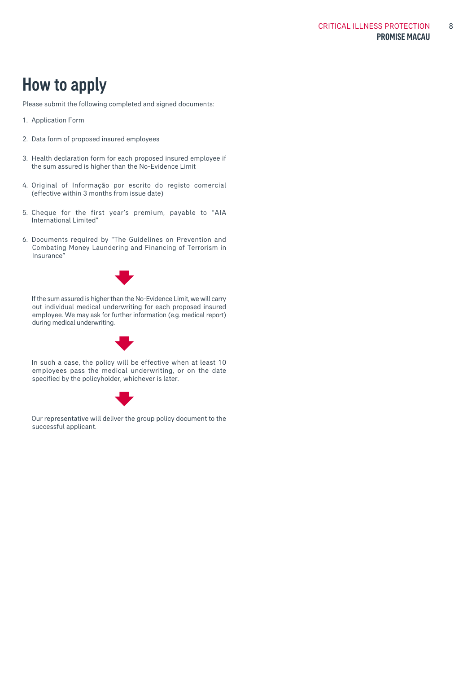# How to apply

Please submit the following completed and signed documents:

- 1. Application Form
- 2. Data form of proposed insured employees
- 3. Health declaration form for each proposed insured employee if the sum assured is higher than the No-Evidence Limit
- 4. Original of Informação por escrito do registo comercial (effective within 3 months from issue date)
- 5. Cheque for the first year's premium, payable to "AIA International Limited"
- 6. Documents required by "The Guidelines on Prevention and Combating Money Laundering and Financing of Terrorism in Insurance"



 If the sum assured is higher than the No-Evidence Limit, we will carry out individual medical underwriting for each proposed insured employee. We may ask for further information (e.g. medical report) during medical underwriting.



 In such a case, the policy will be effective when at least 10 employees pass the medical underwriting, or on the date specified by the policyholder, whichever is later.



 Our representative will deliver the group policy document to the successful applicant.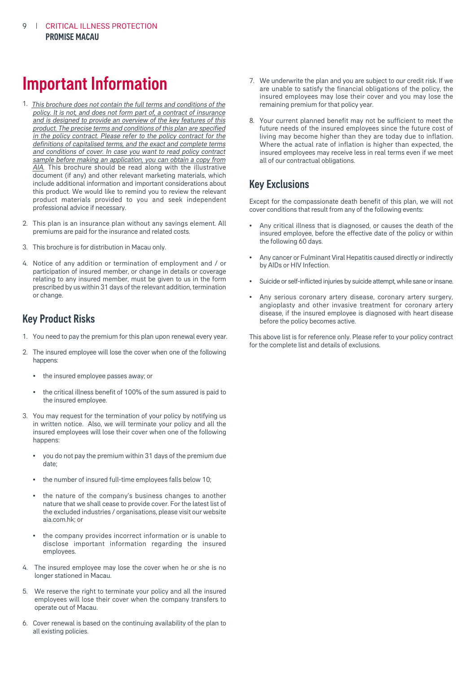# Important Information

- 1. This brochure does not contain the full terms and conditions of the AIA. This brochure should be read along with the illustrative document (if any) and other relevant marketing materials, which include additional information and important considerations about this product. We would like to remind you to review the relevant product materials provided to you and seek independent professional advice if necessary. policy. It is not, and does not form part of, a contract of insurance and is designed to provide an overview of the key features of this product. The precise terms and conditions of this plan are specified in the policy contract. Please refer to the policy contract for the definitions of capitalised terms, and the exact and complete terms and conditions of cover. In case you want to read policy contract sample before making an application, you can obtain a copy from
- 2. This plan is an insurance plan without any savings element. All premiums are paid for the insurance and related costs.
- 3. This brochure is for distribution in Macau only.
- 4. Notice of any addition or termination of employment and / or participation of insured member, or change in details or coverage relating to any insured member, must be given to us in the form prescribed by us within 31 days of the relevant addition, termination or change.

### Key Product Risks

- 1. You need to pay the premium for this plan upon renewal every year.
- 2. The insured employee will lose the cover when one of the following happens:
	- the insured employee passes away; or
	- the critical illness benefit of 100% of the sum assured is paid to the insured employee.
- 3. You may request for the termination of your policy by notifying us in written notice. Also, we will terminate your policy and all the insured employees will lose their cover when one of the following happens:
	- you do not pay the premium within 31 days of the premium due date;
	- the number of insured full-time employees falls below 10;
	- the nature of the company's business changes to another nature that we shall cease to provide cover. For the latest list of the excluded industries / organisations, please visit our website [aia.com.hk;](aia.com.hk) or
	- the company provides incorrect information or is unable to disclose important information regarding the insured employees.
- 4. The insured employee may lose the cover when he or she is no longer stationed in Macau.
- 5. We reserve the right to terminate your policy and all the insured employees will lose their cover when the company transfers to operate out of Macau.
- 6. Cover renewal is based on the continuing availability of the plan to all existing policies.
- 7. We underwrite the plan and you are subject to our credit risk. If we are unable to satisfy the financial obligations of the policy, the insured employees may lose their cover and you may lose the remaining premium for that policy year.
- 8. Your current planned benefit may not be sufficient to meet the future needs of the insured employees since the future cost of living may become higher than they are today due to inflation. Where the actual rate of inflation is higher than expected, the insured employees may receive less in real terms even if we meet all of our contractual obligations.

### Key Exclusions

Except for the compassionate death benefit of this plan, we will not cover conditions that result from any of the following events:

- Any critical illness that is diagnosed, or causes the death of the insured employee, before the effective date of the policy or within the following 60 days.
- Any cancer or Fulminant Viral Hepatitis caused directly or indirectly by AIDs or HIV Infection.
- Suicide or self-inflicted injuries by suicide attempt, while sane or insane.
- Any serious coronary artery disease, coronary artery surgery, angioplasty and other invasive treatment for coronary artery disease, if the insured employee is diagnosed with heart disease before the policy becomes active.

This above list is for reference only. Please refer to your policy contract for the complete list and details of exclusions.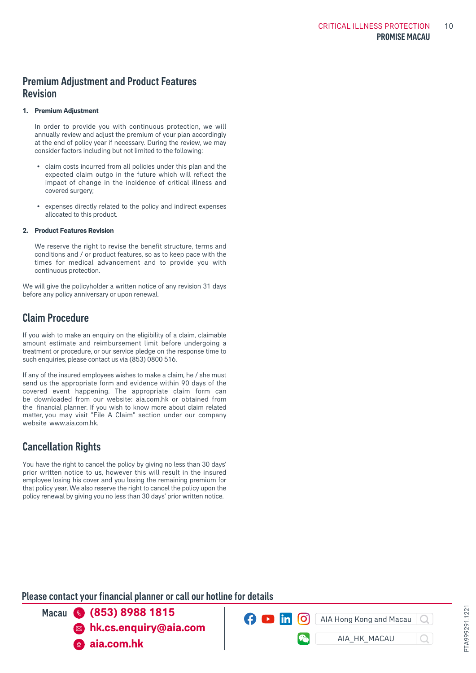### Premium Adjustment and Product Features Revision

### **1. Premium Adjustment**

In order to provide you with continuous protection, we will annually review and adjust the premium of your plan accordingly at the end of policy year if necessary. During the review, we may consider factors including but not limited to the following:

- claim costs incurred from all policies under this plan and the expected claim outgo in the future which will reflect the impact of change in the incidence of critical illness and covered surgery;
- expenses directly related to the policy and indirect expenses allocated to this product.

#### **2. Product Features Revision**

We reserve the right to revise the benefit structure, terms and conditions and / or product features, so as to keep pace with the times for medical advancement and to provide you with continuous protection.

We will give the policyholder a written notice of any revision 31 days before any policy anniversary or upon renewal.

### Claim Procedure

If you wish to make an enquiry on the eligibility of a claim, claimable amount estimate and reimbursement limit before undergoing a treatment or procedure, or our service pledge on the response time to such enquiries, please contact us via (853) 0800 516.

If any of the insured employees wishes to make a claim, he / she must send us the appropriate form and evidence within 90 days of the covered event happening. The appropriate claim form can be downloaded from our website: <aia.com.hk>or obtained from the financial planner. If you wish to know more about claim related matter, you may visit "File A Claim" section under our company website [www.aia.com.hk](aia.com.hk)

### Cancellation Rights

You have the right to cancel the policy by giving no less than 30 days' prior written notice to us, however this will result in the insured employee losing his cover and you losing the remaining premium for that policy year. We also reserve the right to cancel the policy upon the policy renewal by giving you no less than 30 days' prior written notice.

### Please contact your financial planner or call our hotline for details